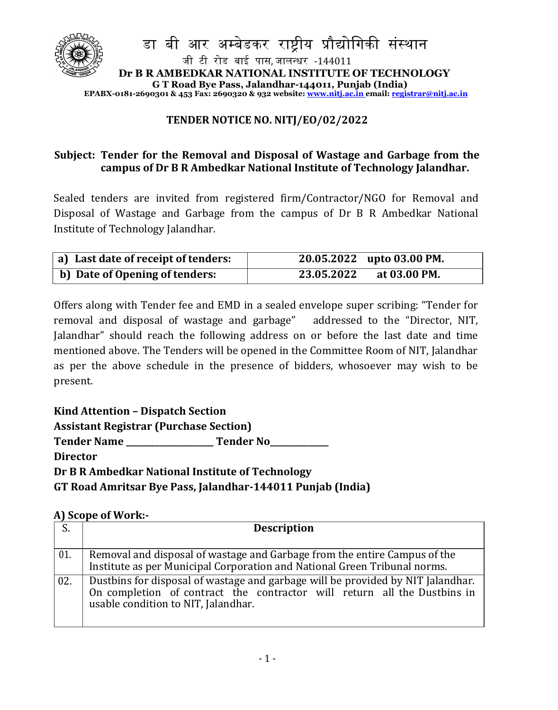

#### **EPABX-0181-2690301 & 453 Fax: 2690320 & 932 website: www.nitj.ac.in email: registrar@nitj.ac.in**

## **TENDER NOTICE NO. NITJ/EO/02/2022**

# **Subject: Tender for the Removal and Disposal of Wastage and Garbage from the campus of Dr B R Ambedkar National Institute of Technology Jalandhar.**

Sealed tenders are invited from registered firm/Contractor/NGO for Removal and Disposal of Wastage and Garbage from the campus of Dr B R Ambedkar National Institute of Technology Jalandhar.

| a) Last date of receipt of tenders: | 20.05.2022 upto 03.00 PM.  |
|-------------------------------------|----------------------------|
| b) Date of Opening of tenders:      | 23.05.2022<br>at 03.00 PM. |

Offers along with Tender fee and EMD in a sealed envelope super scribing: "Tender for removal and disposal of wastage and garbage" addressed to the "Director, NIT, Jalandhar" should reach the following address on or before the last date and time mentioned above. The Tenders will be opened in the Committee Room of NIT, Jalandhar as per the above schedule in the presence of bidders, whosoever may wish to be present.

**Kind Attention – Dispatch Section Assistant Registrar (Purchase Section)** Tender Name **Tender No Director Dr B R Ambedkar National Institute of Technology GT Road Amritsar Bye Pass, Jalandhar-144011 Punjab (India)**

## **A) Scope of Work:-**

|     | <b>Description</b>                                                                                                                                                                                 |  |  |  |  |
|-----|----------------------------------------------------------------------------------------------------------------------------------------------------------------------------------------------------|--|--|--|--|
|     |                                                                                                                                                                                                    |  |  |  |  |
| 01. | Removal and disposal of wastage and Garbage from the entire Campus of the<br>Institute as per Municipal Corporation and National Green Tribunal norms.                                             |  |  |  |  |
| 02. | Dustbins for disposal of wastage and garbage will be provided by NIT Jalandhar.<br>On completion of contract the contractor will return all the Dustbins in<br>usable condition to NIT, Jalandhar. |  |  |  |  |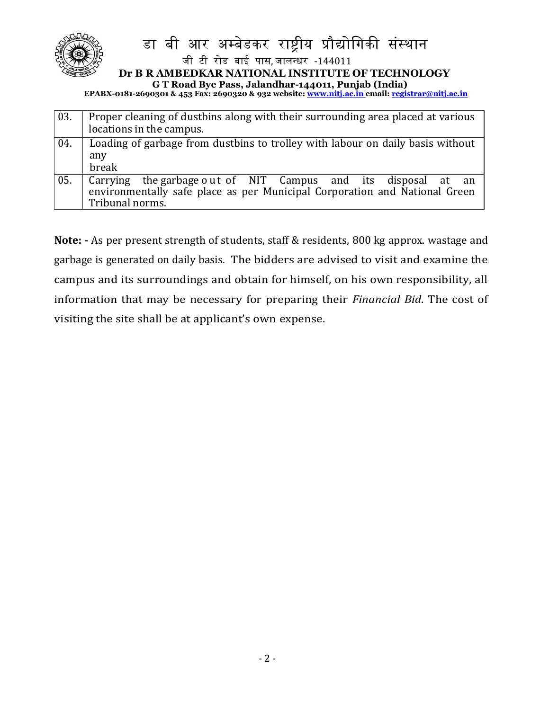

| 03. | Proper cleaning of dustbins along with their surrounding area placed at various<br>locations in the campus.                                                       |
|-----|-------------------------------------------------------------------------------------------------------------------------------------------------------------------|
| 04. | Loading of garbage from dustbins to trolley with labour on daily basis without<br>any<br>break                                                                    |
| 05. | Carrying the garbage out of NIT Campus and its disposal at<br>an<br>environmentally safe place as per Municipal Corporation and National Green<br>Tribunal norms. |

**Note: -** As per present strength of students, staff & residents, 800 kg approx. wastage and garbage is generated on daily basis. The bidders are advised to visit and examine the campus and its surroundings and obtain for himself, on his own responsibility, all information that may be necessary for preparing their *Financial Bid*. The cost of visiting the site shall be at applicant's own expense.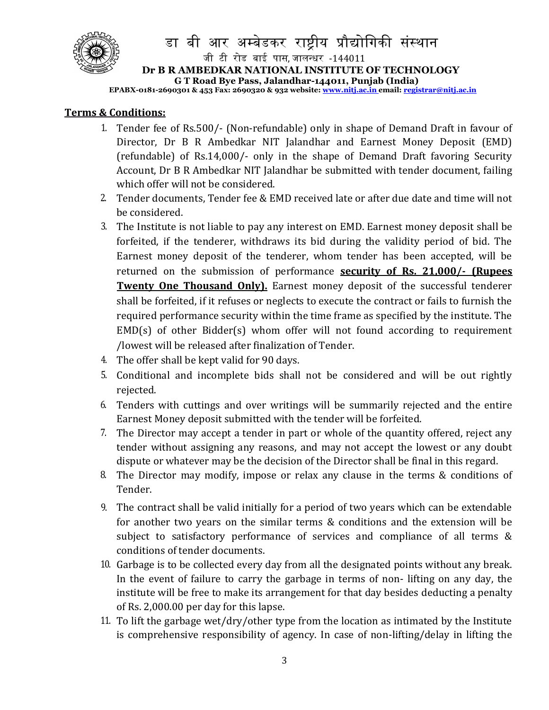

# डा बी आर अम्बेडकर राष्ट्रीय प्रौद्योगिकी संस्थान

जी टी रोड बाई पास, जालन्धर -144011  **Dr B R AMBEDKAR NATIONAL INSTITUTE OF TECHNOLOGY**

**G T Road Bye Pass, Jalandhar-144011, Punjab (India)**

 **EPABX-0181-2690301 & 453 Fax: 2690320 & 932 website: www.nitj.ac.in email: registrar@nitj.ac.in**

## **Terms & Conditions:**

- 1. Tender fee of Rs.500/- (Non-refundable) only in shape of Demand Draft in favour of Director, Dr B R Ambedkar NIT Jalandhar and Earnest Money Deposit (EMD) (refundable) of Rs.14,000/- only in the shape of Demand Draft favoring Security Account, Dr B R Ambedkar NIT Jalandhar be submitted with tender document, failing which offer will not be considered.
- 2. Tender documents, Tender fee & EMD received late or after due date and time will not be considered.
- 3. The Institute is not liable to pay any interest on EMD. Earnest money deposit shall be forfeited, if the tenderer, withdraws its bid during the validity period of bid. The Earnest money deposit of the tenderer, whom tender has been accepted, will be returned on the submission of performance **security of Rs. 21,000/- (Rupees Twenty One Thousand Only).** Earnest money deposit of the successful tenderer shall be forfeited, if it refuses or neglects to execute the contract or fails to furnish the required performance security within the time frame as specified by the institute. The EMD(s) of other Bidder(s) whom offer will not found according to requirement /lowest will be released after finalization of Tender.
- 4. The offer shall be kept valid for 90 days.
- 5. Conditional and incomplete bids shall not be considered and will be out rightly rejected.
- 6. Tenders with cuttings and over writings will be summarily rejected and the entire Earnest Money deposit submitted with the tender will be forfeited.
- 7. The Director may accept a tender in part or whole of the quantity offered, reject any tender without assigning any reasons, and may not accept the lowest or any doubt dispute or whatever may be the decision of the Director shall be final in this regard.
- 8. The Director may modify, impose or relax any clause in the terms & conditions of Tender.
- 9. The contract shall be valid initially for a period of two years which can be extendable for another two years on the similar terms & conditions and the extension will be subject to satisfactory performance of services and compliance of all terms & conditions of tender documents.
- 10. Garbage is to be collected every day from all the designated points without any break. In the event of failure to carry the garbage in terms of non- lifting on any day, the institute will be free to make its arrangement for that day besides deducting a penalty of Rs. 2,000.00 per day for this lapse.
- 11. To lift the garbage wet/dry/other type from the location as intimated by the Institute is comprehensive responsibility of agency. In case of non-lifting/delay in lifting the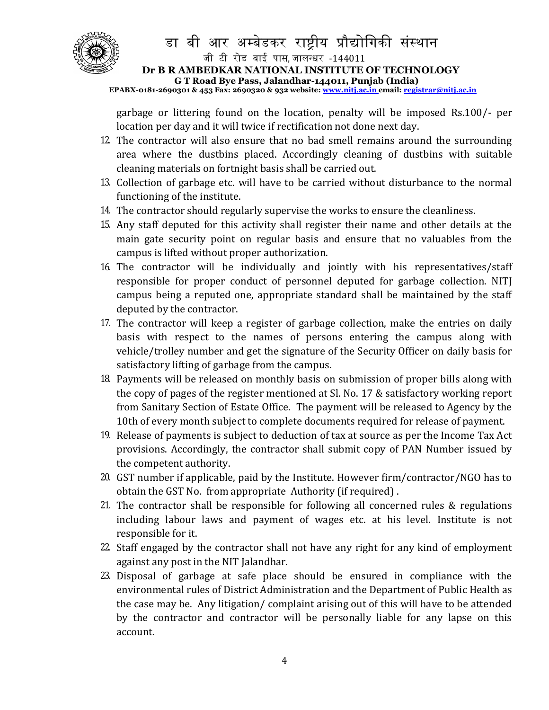

# डा बी आर अम्बेडकर राष्ट्रीय प्रौद्योगिकी संस्थान

जी टी रोड बाई पास, जालन्धर -144011

 **Dr B R AMBEDKAR NATIONAL INSTITUTE OF TECHNOLOGY**

**G T Road Bye Pass, Jalandhar-144011, Punjab (India)**

 **EPABX-0181-2690301 & 453 Fax: 2690320 & 932 website: www.nitj.ac.in email: registrar@nitj.ac.in**

garbage or littering found on the location, penalty will be imposed Rs.100/- per location per day and it will twice if rectification not done next day.

- 12. The contractor will also ensure that no bad smell remains around the surrounding area where the dustbins placed. Accordingly cleaning of dustbins with suitable cleaning materials on fortnight basis shall be carried out.
- 13. Collection of garbage etc. will have to be carried without disturbance to the normal functioning of the institute.
- 14. The contractor should regularly supervise the works to ensure the cleanliness.
- 15. Any staff deputed for this activity shall register their name and other details at the main gate security point on regular basis and ensure that no valuables from the campus is lifted without proper authorization.
- 16. The contractor will be individually and jointly with his representatives/staff responsible for proper conduct of personnel deputed for garbage collection. NITJ campus being a reputed one, appropriate standard shall be maintained by the staff deputed by the contractor.
- 17. The contractor will keep a register of garbage collection, make the entries on daily basis with respect to the names of persons entering the campus along with vehicle/trolley number and get the signature of the Security Officer on daily basis for satisfactory lifting of garbage from the campus.
- 18. Payments will be released on monthly basis on submission of proper bills along with the copy of pages of the register mentioned at Sl. No. 17 & satisfactory working report from Sanitary Section of Estate Office. The payment will be released to Agency by the 10th of every month subject to complete documents required for release of payment.
- 19. Release of payments is subject to deduction of tax at source as per the Income Tax Act provisions. Accordingly, the contractor shall submit copy of PAN Number issued by the competent authority.
- 20. GST number if applicable, paid by the Institute. However firm/contractor/NGO has to obtain the GST No. from appropriate Authority (if required) .
- 21. The contractor shall be responsible for following all concerned rules & regulations including labour laws and payment of wages etc. at his level. Institute is not responsible for it.
- 22. Staff engaged by the contractor shall not have any right for any kind of employment against any post in the NIT Jalandhar.
- 23. Disposal of garbage at safe place should be ensured in compliance with the environmental rules of District Administration and the Department of Public Health as the case may be. Any litigation/ complaint arising out of this will have to be attended by the contractor and contractor will be personally liable for any lapse on this account.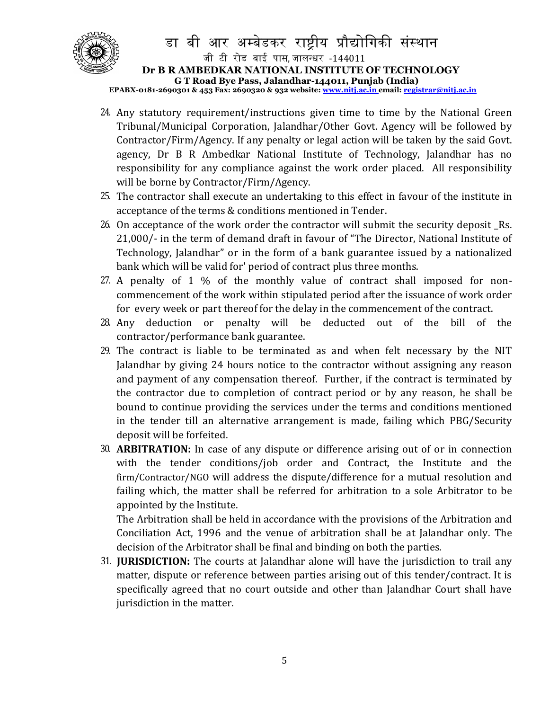

# डा बी आर अम्बेडकर राष्ट्रीय प्रौद्योगिकी संस्थान जी टी रोड बाई पास, जालन्धर -144011  **Dr B R AMBEDKAR NATIONAL INSTITUTE OF TECHNOLOGY**

**G T Road Bye Pass, Jalandhar-144011, Punjab (India)**

 **EPABX-0181-2690301 & 453 Fax: 2690320 & 932 website: www.nitj.ac.in email: registrar@nitj.ac.in**

- 24. Any statutory requirement/instructions given time to time by the National Green Tribunal/Municipal Corporation, Jalandhar/Other Govt. Agency will be followed by Contractor/Firm/Agency. If any penalty or legal action will be taken by the said Govt. agency, Dr B R Ambedkar National Institute of Technology, Jalandhar has no responsibility for any compliance against the work order placed. All responsibility will be borne by Contractor/Firm/Agency.
- 25. The contractor shall execute an undertaking to this effect in favour of the institute in acceptance of the terms & conditions mentioned in Tender.
- 26. On acceptance of the work order the contractor will submit the security deposit \_Rs. 21,000/- in the term of demand draft in favour of "The Director, National Institute of Technology, Jalandhar" or in the form of a bank guarantee issued by a nationalized bank which will be valid for' period of contract plus three months.
- 27. A penalty of 1 % of the monthly value of contract shall imposed for noncommencement of the work within stipulated period after the issuance of work order for every week or part thereof for the delay in the commencement of the contract.
- 28. Any deduction or penalty will be deducted out of the bill of the contractor/performance bank guarantee.
- 29. The contract is liable to be terminated as and when felt necessary by the NIT Jalandhar by giving 24 hours notice to the contractor without assigning any reason and payment of any compensation thereof. Further, if the contract is terminated by the contractor due to completion of contract period or by any reason, he shall be bound to continue providing the services under the terms and conditions mentioned in the tender till an alternative arrangement is made, failing which PBG/Security deposit will be forfeited.
- 30. **ARBITRATION:** In case of any dispute or difference arising out of or in connection with the tender conditions/job order and Contract, the Institute and the firm/Contractor/NGO will address the dispute/difference for a mutual resolution and failing which, the matter shall be referred for arbitration to a sole Arbitrator to be appointed by the Institute.

The Arbitration shall be held in accordance with the provisions of the Arbitration and Conciliation Act, 1996 and the venue of arbitration shall be at Jalandhar only. The decision of the Arbitrator shall be final and binding on both the parties.

31. **JURISDICTION:** The courts at Jalandhar alone will have the jurisdiction to trail any matter, dispute or reference between parties arising out of this tender/contract. It is specifically agreed that no court outside and other than Jalandhar Court shall have jurisdiction in the matter.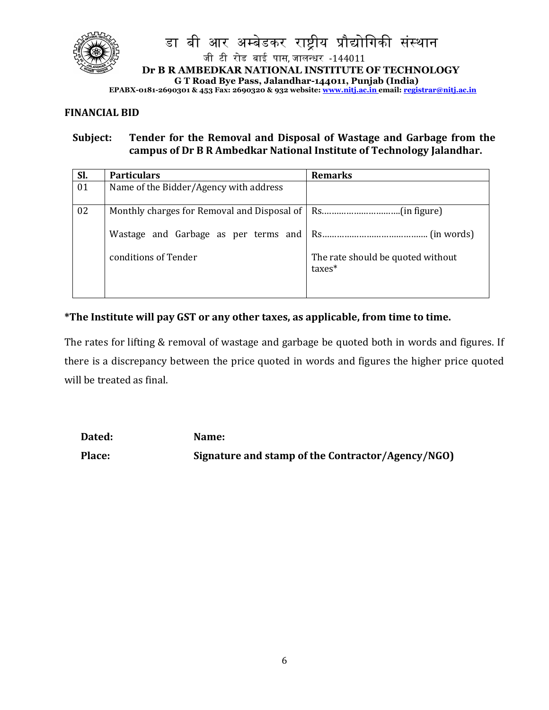

जी टी रोड बाई पास, जालन्धर -144011  **Dr B R AMBEDKAR NATIONAL INSTITUTE OF TECHNOLOGY**

**G T Road Bye Pass, Jalandhar-144011, Punjab (India)**

 **EPABX-0181-2690301 & 453 Fax: 2690320 & 932 website: www.nitj.ac.in email: registrar@nitj.ac.in**

#### **FINANCIAL BID**

## **Subject: Tender for the Removal and Disposal of Wastage and Garbage from the campus of Dr B R Ambedkar National Institute of Technology Jalandhar.**

| Sl. | <b>Particulars</b>                     | <b>Remarks</b>                                |
|-----|----------------------------------------|-----------------------------------------------|
| 01  | Name of the Bidder/Agency with address |                                               |
| 02  |                                        |                                               |
|     |                                        |                                               |
|     | conditions of Tender                   | The rate should be quoted without<br>$taxes*$ |

### **\*The Institute will pay GST or any other taxes, as applicable, from time to time.**

The rates for lifting & removal of wastage and garbage be quoted both in words and figures. If there is a discrepancy between the price quoted in words and figures the higher price quoted will be treated as final.

| Dated: | Name:                                             |
|--------|---------------------------------------------------|
| Place: | Signature and stamp of the Contractor/Agency/NGO) |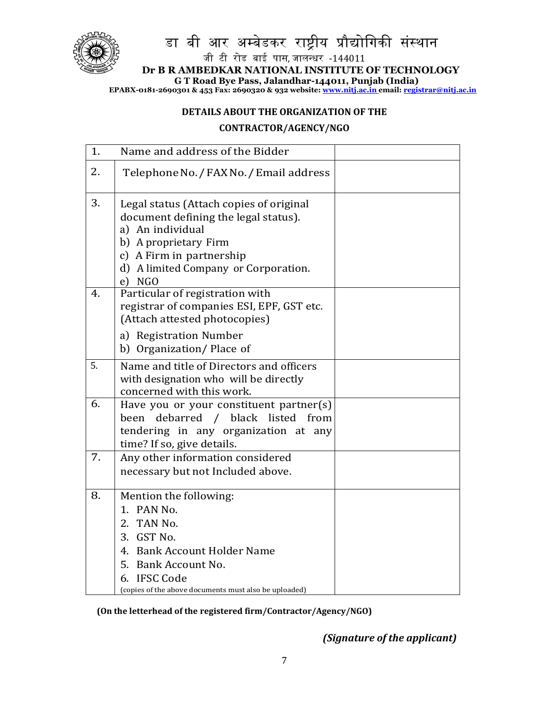

# डा बी आर अम्बेडकर राष्ट्रीय प्रौद्योगिकी संस्थान

जी टी रोड बाई पास, जालन्धर -144011

 **Dr B R AMBEDKAR NATIONAL INSTITUTE OF TECHNOLOGY**

**G T Road Bye Pass, Jalandhar-144011, Punjab (India)**

 **EPABX-0181-2690301 & 453 Fax: 2690320 & 932 website: www.nitj.ac.in email: registrar@nitj.ac.in**

#### **DETAILS ABOUT THE ORGANIZATION OF THE**

#### **CONTRACTOR/AGENCY/NGO**

| 1. | Name and address of the Bidder                                                                                                                                                                             |  |
|----|------------------------------------------------------------------------------------------------------------------------------------------------------------------------------------------------------------|--|
| 2. | Telephone No. / FAX No. / Email address                                                                                                                                                                    |  |
| 3. | Legal status (Attach copies of original<br>document defining the legal status).<br>a) An individual<br>b) A proprietary Firm<br>c) A Firm in partnership<br>d) A limited Company or Corporation.<br>e) NGO |  |
| 4. | Particular of registration with<br>registrar of companies ESI, EPF, GST etc.<br>(Attach attested photocopies)<br>a) Registration Number<br>b) Organization/Place of                                        |  |
| 5. | Name and title of Directors and officers<br>with designation who will be directly<br>concerned with this work.                                                                                             |  |
| 6. | Have you or your constituent partner(s)<br>debarred / black listed<br>been<br>from<br>tendering in any organization at any<br>time? If so, give details.                                                   |  |
| 7. | Any other information considered<br>necessary but not Included above.                                                                                                                                      |  |
| 8. | Mention the following:<br>1. PAN No.<br>2. TAN No.<br>3. GST No.<br>4. Bank Account Holder Name<br>5. Bank Account No.<br>6. IFSC Code<br>(copies of the above documents must also be uploaded)            |  |

**(On the letterhead of the registered firm/Contractor/Agency/NGO)**

*(Signature of the applicant)*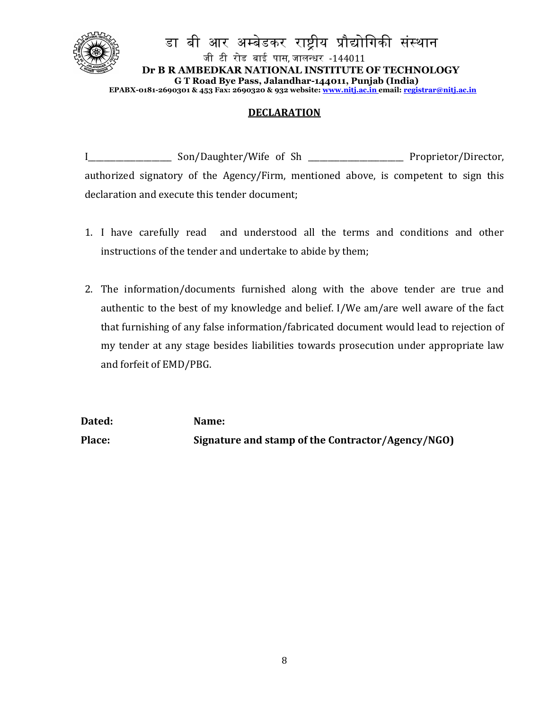

#### डा बी आर अम्बेडकर राष्ट्रीय प्रौद्योगिकी संस्थान जी टी रोड बाई पास, जालन्धर -144011  **Dr B R AMBEDKAR NATIONAL INSTITUTE OF TECHNOLOGY G T Road Bye Pass, Jalandhar-144011, Punjab (India) EPABX-0181-2690301 & 453 Fax: 2690320 & 932 website: www.nitj.ac.in email: registrar@nitj.ac.in**

# **DECLARATION**

I\_\_\_\_\_\_\_\_\_\_\_\_\_\_\_\_\_\_\_\_\_ Son/Daughter/Wife of Sh \_\_\_\_\_\_\_\_\_\_\_\_\_\_\_\_\_\_\_\_\_\_\_\_ Proprietor/Director, authorized signatory of the Agency/Firm, mentioned above, is competent to sign this declaration and execute this tender document;

- 1. I have carefully read and understood all the terms and conditions and other instructions of the tender and undertake to abide by them;
- 2. The information/documents furnished along with the above tender are true and authentic to the best of my knowledge and belief. I/We am/are well aware of the fact that furnishing of any false information/fabricated document would lead to rejection of my tender at any stage besides liabilities towards prosecution under appropriate law and forfeit of EMD/PBG.

**Dated: Name: Place: Signature and stamp of the Contractor/Agency/NGO)**